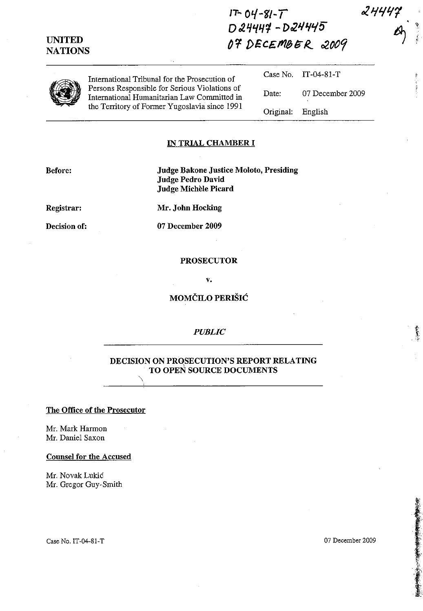# $17 - 04 - 81 - 7$  $D24444 - D24445$ OF DECEMBER 2009

| $\overline{\phantom{a}}$ | International Tribunal for the Prosecution of<br>Persons Responsible for Serious Violations of<br>International Humanitarian Law Committed in<br>the Territory of Former Yugoslavia since 1991 |                   | Case No. $IT-04-81-T$ |
|--------------------------|------------------------------------------------------------------------------------------------------------------------------------------------------------------------------------------------|-------------------|-----------------------|
|                          |                                                                                                                                                                                                | Date:             | 07 December 2009      |
|                          |                                                                                                                                                                                                | Original: English |                       |

#### **IN TRIAL CHAMBER I**

**Before:** 

**Judge Bakone Justice Moloto, Presiding** Judge Pedro David Judge Michèle Picard

Registrar:

Mr. John Hocking

Decision of:

07 December 2009

#### **PROSECUTOR**

 $\mathbf{v}$ .

# MOMČILO PERIŠIĆ

## **PUBLIC**

## DECISION ON PROSECUTION'S REPORT RELATING TO OPEN SOURCE DOCUMENTS

### The Office of the Prosecutor

Mr. Mark Harmon Mr. Daniel Saxon

#### **Counsel for the Accused**

Mr. Novak Lukić Mr. Gregor Guy-Smith

Case No. IT-04-81-T

「大阪の地震のある」と、小田

## **UNITED NATIONS**

 $2444$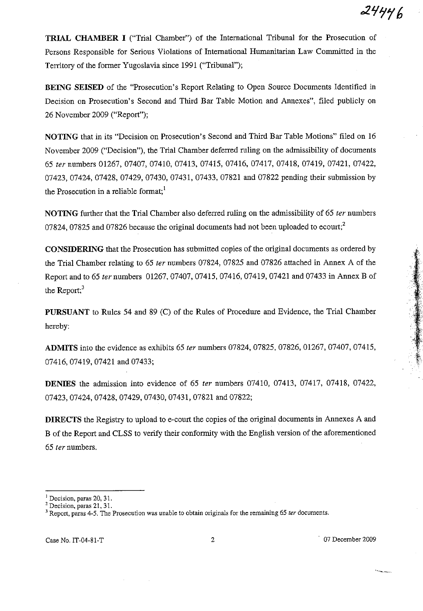**TRIAL CHAMBER I** ("Trial Chamber") of the International Tribunal for the Prosecution of Persons Responsible for Serious Violations of International Humanitarian Law Committed in the Territory of the former Yugoslavia since 1991 ("Tribunal");

**BEING SEISED** of the "Prosecution's Report Relating to Open Source Documents Identified in Decision on Prosecution's Second and Third Bar Table Motion and Annexes", filed publicly on 26 November 2009 ("Report");

**NOTING** that in its "Decision on Prosecution's Second and Third Bar Table Motions" filed on 16 November 2009 ("Decision"), the Trial Chamber deferred ruling on the admissibility of documents *65 ter* numbers 01267,07407,07410,07413,07415,07416,07417,07418, 07419, 07421, 07422, 07423, 07424, 07428, 07429, 07430, 07431, 07433, 07821 and 07822 pending their submission by the Prosecution in a reliable format; $<sup>1</sup>$ </sup>

**NOTING** further that the Trial Chamber also deferred ruling on the admissibility of 65 *ter* numbers 07824, 07825 and 07826 because the original documents had not been uploaded to ecourt;<sup>2</sup>

**CONSIDERING** that the Prosecution has submitted copies of the Original documents as ordered by the Trial Chamber relating to 65 *ter* numbers 07824, 07825 and 07826 attached in Annex A of the Report and to 65 *ter* numbers 01267,07407,07415,07416,07419,07421 and 07433 in Annex B of the Report;<sup>3</sup>

**PURSUANT** to Rules 54 and 89 (C) of the Rules of Procedure and Evidence, the Trial Chamber hereby:

**ADMITS** into the evidence as exhibits 65 *ter* numbers 07824, 07825, 07826, 01267, 07407, 07415, 07416,07419,07421 and 07433;

**DENIES** the admission into evidence of 65 *ter* numbers 07410, 07413, 07417, 07418, 07422, 07423,07424,07428,07429,07430,07431,07821 and 07822;

**DIRECTS** the Registry to upload to e-court the copies of the original documents in Annexes A and B of the Report and CLSS to verify their conformity with the English version of the aforementioned *65 ter* numbers.

Case No. IT-04-8J-T 2 . 07 December 2009

**<sup>I</sup>Decision, paras 20, 31.** 

**<sup>2</sup> Decision, paras 21, 31.** 

**<sup>3</sup> Report, paras 4-5. The Prosecution was unable to obtain originals for the remaining 65** *ter* **documents.**